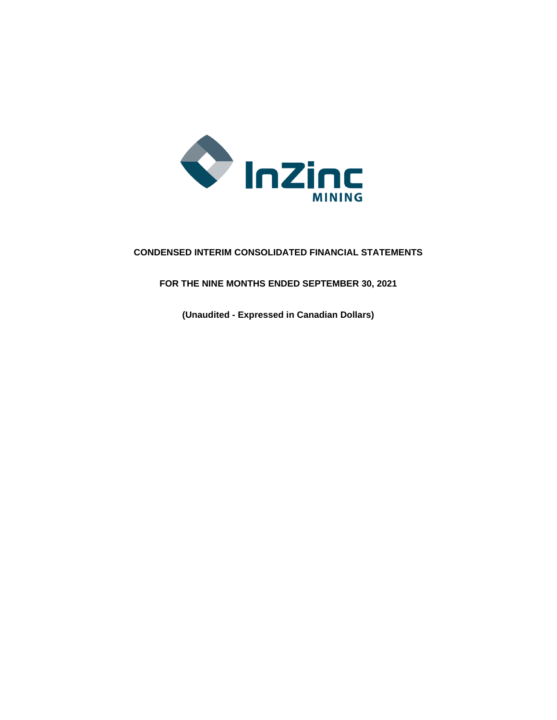

# **CONDENSED INTERIM CONSOLIDATED FINANCIAL STATEMENTS**

**FOR THE NINE MONTHS ENDED SEPTEMBER 30, 2021**

**(Unaudited - Expressed in Canadian Dollars)**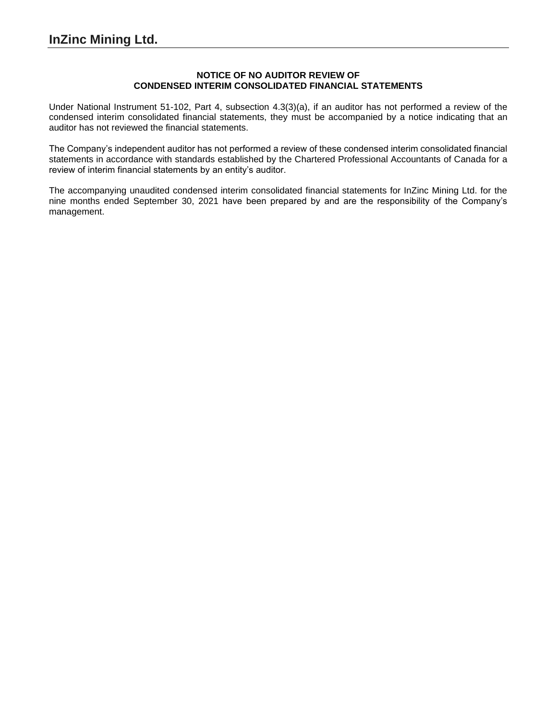## **NOTICE OF NO AUDITOR REVIEW OF CONDENSED INTERIM CONSOLIDATED FINANCIAL STATEMENTS**

Under National Instrument 51-102, Part 4, subsection 4.3(3)(a), if an auditor has not performed a review of the condensed interim consolidated financial statements, they must be accompanied by a notice indicating that an auditor has not reviewed the financial statements.

The Company's independent auditor has not performed a review of these condensed interim consolidated financial statements in accordance with standards established by the Chartered Professional Accountants of Canada for a review of interim financial statements by an entity's auditor.

The accompanying unaudited condensed interim consolidated financial statements for InZinc Mining Ltd. for the nine months ended September 30, 2021 have been prepared by and are the responsibility of the Company's management.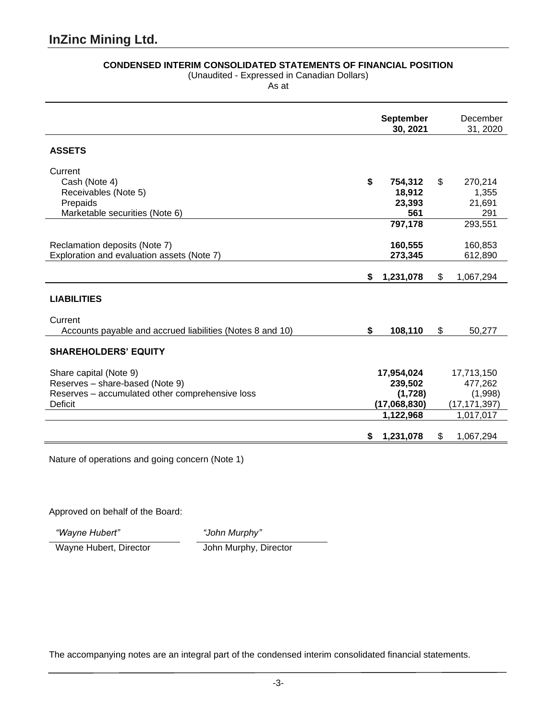# **CONDENSED INTERIM CONSOLIDATED STATEMENTS OF FINANCIAL POSITION**

(Unaudited - Expressed in Canadian Dollars)

As at

|                                                           |    | <b>September</b><br>30, 2021 | December<br>31, 2020 |
|-----------------------------------------------------------|----|------------------------------|----------------------|
| <b>ASSETS</b>                                             |    |                              |                      |
| Current                                                   |    |                              |                      |
| Cash (Note 4)                                             | \$ | 754,312                      | \$<br>270,214        |
| Receivables (Note 5)                                      |    | 18,912                       | 1,355                |
| Prepaids<br>Marketable securities (Note 6)                |    | 23,393<br>561                | 21,691<br>291        |
|                                                           |    | 797,178                      | 293,551              |
|                                                           |    |                              |                      |
| Reclamation deposits (Note 7)                             |    | 160,555                      | 160,853              |
| Exploration and evaluation assets (Note 7)                |    | 273,345                      | 612,890              |
|                                                           |    |                              |                      |
|                                                           | \$ | 1,231,078                    | \$<br>1,067,294      |
| <b>LIABILITIES</b>                                        |    |                              |                      |
| Current                                                   |    |                              |                      |
| Accounts payable and accrued liabilities (Notes 8 and 10) | \$ | 108,110                      | \$<br>50,277         |
| <b>SHAREHOLDERS' EQUITY</b>                               |    |                              |                      |
| Share capital (Note 9)                                    |    | 17,954,024                   | 17,713,150           |
| Reserves - share-based (Note 9)                           |    | 239,502                      | 477,262              |
| Reserves - accumulated other comprehensive loss           |    | (1,728)                      | (1,998)              |
| <b>Deficit</b>                                            |    | (17,068,830)                 | (17, 171, 397)       |
|                                                           |    | 1,122,968                    | 1,017,017            |
|                                                           | S  | 1,231,078                    | \$<br>1,067,294      |

Nature of operations and going concern (Note 1)

Approved on behalf of the Board:

*"Wayne Hubert" "John Murphy"*

Wayne Hubert, Director John Murphy, Director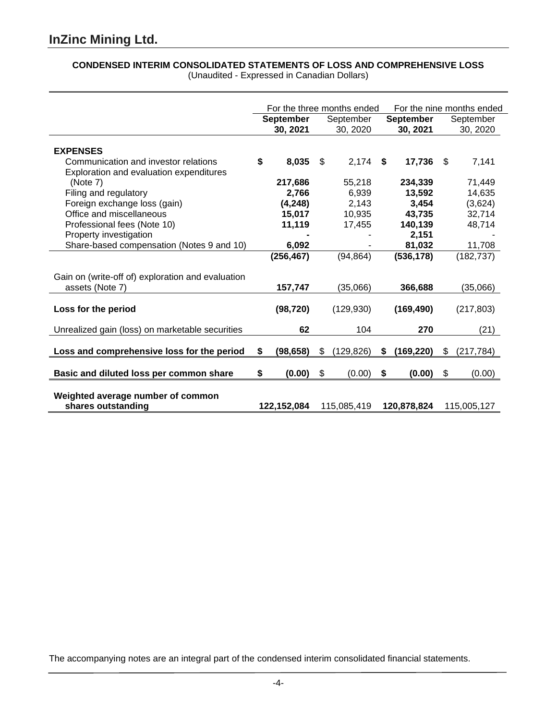# **CONDENSED INTERIM CONSOLIDATED STATEMENTS OF LOSS AND COMPREHENSIVE LOSS**

|                                                                                 |                                           |                  |    | For the three months ended | For the nine months ended |                  |     |             |
|---------------------------------------------------------------------------------|-------------------------------------------|------------------|----|----------------------------|---------------------------|------------------|-----|-------------|
|                                                                                 |                                           | <b>September</b> |    | September                  |                           | <b>September</b> |     | September   |
|                                                                                 |                                           | 30, 2021         |    | 30, 2020                   |                           | 30, 2021         |     | 30, 2020    |
| <b>EXPENSES</b>                                                                 |                                           |                  |    |                            |                           |                  |     |             |
| Communication and investor relations<br>Exploration and evaluation expenditures | \$                                        | 8,035            | \$ | $2,174$ \$                 |                           | 17,736           | \$. | 7,141       |
| (Note 7)                                                                        |                                           | 217,686          |    | 55,218                     |                           | 234,339          |     | 71,449      |
| Filing and regulatory                                                           |                                           | 2,766            |    | 6,939                      |                           | 13,592           |     | 14,635      |
| Foreign exchange loss (gain)                                                    |                                           | (4, 248)         |    | 2,143                      |                           | 3,454            |     | (3,624)     |
| Office and miscellaneous                                                        |                                           | 15,017           |    | 10,935                     |                           | 43,735           |     | 32,714      |
| Professional fees (Note 10)                                                     |                                           | 11,119           |    | 17,455                     |                           | 140,139          |     | 48,714      |
| Property investigation                                                          |                                           |                  |    |                            |                           | 2,151            |     |             |
| Share-based compensation (Notes 9 and 10)                                       |                                           | 6,092            |    |                            |                           | 81,032           |     | 11,708      |
|                                                                                 |                                           | (256, 467)       |    | (94, 864)                  |                           | (536, 178)       |     | (182, 737)  |
| Gain on (write-off of) exploration and evaluation<br>assets (Note 7)            |                                           | 157,747          |    | (35,066)                   |                           | 366,688          |     | (35,066)    |
|                                                                                 |                                           |                  |    |                            |                           |                  |     |             |
| Loss for the period                                                             |                                           | (98, 720)        |    | (129, 930)                 |                           | (169, 490)       |     | (217, 803)  |
| Unrealized gain (loss) on marketable securities                                 |                                           | 62               |    | 104                        |                           | 270              |     | (21)        |
| Loss and comprehensive loss for the period                                      | \$                                        | (98, 658)        | \$ | (129, 826)                 | \$                        | (169, 220)       | \$  | (217, 784)  |
| Basic and diluted loss per common share                                         | \$                                        | (0.00)           | \$ | (0.00)                     | \$                        | (0.00)           | \$  | (0.00)      |
| Weighted average number of common<br>shares outstanding                         | 122,152,084<br>115,085,419<br>120,878,824 |                  |    |                            |                           |                  |     | 115,005,127 |

(Unaudited - Expressed in Canadian Dollars)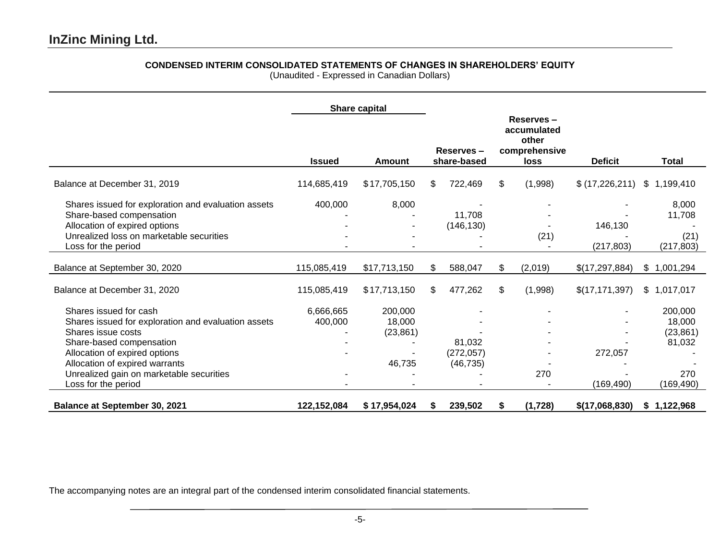# **CONDENSED INTERIM CONSOLIDATED STATEMENTS OF CHANGES IN SHAREHOLDERS' EQUITY**

(Unaudited - Expressed in Canadian Dollars)

|                                                     |               | Share capital |     |                          |                                                            |                  |              |
|-----------------------------------------------------|---------------|---------------|-----|--------------------------|------------------------------------------------------------|------------------|--------------|
|                                                     | <b>Issued</b> | <b>Amount</b> |     | Reserves-<br>share-based | Reserves-<br>accumulated<br>other<br>comprehensive<br>loss | <b>Deficit</b>   | <b>Total</b> |
| Balance at December 31, 2019                        | 114,685,419   | \$17,705,150  | SS. | 722,469                  | \$<br>(1,998)                                              | \$(17,226,211)   | \$1,199,410  |
| Shares issued for exploration and evaluation assets | 400,000       | 8,000         |     |                          |                                                            |                  | 8,000        |
| Share-based compensation                            |               |               |     | 11,708                   |                                                            |                  | 11,708       |
| Allocation of expired options                       |               |               |     | (146, 130)               |                                                            | 146,130          |              |
| Unrealized loss on marketable securities            |               |               |     |                          | (21)                                                       |                  | (21)         |
| Loss for the period                                 |               |               |     |                          |                                                            | (217, 803)       | (217, 803)   |
| Balance at September 30, 2020                       | 115,085,419   | \$17,713,150  | \$  | 588,047                  | \$<br>(2,019)                                              | \$(17,297,884)   | \$1,001,294  |
| Balance at December 31, 2020                        | 115,085,419   | \$17,713,150  | \$  | 477,262                  | \$<br>(1,998)                                              | \$(17, 171, 397) | \$1,017,017  |
| Shares issued for cash                              | 6,666,665     | 200,000       |     |                          |                                                            |                  | 200,000      |
| Shares issued for exploration and evaluation assets | 400,000       | 18,000        |     |                          |                                                            |                  | 18,000       |
| Shares issue costs                                  |               | (23, 861)     |     |                          |                                                            |                  | (23, 861)    |
| Share-based compensation                            |               |               |     | 81,032                   |                                                            |                  | 81,032       |
| Allocation of expired options                       |               |               |     | (272, 057)               |                                                            | 272,057          |              |
| Allocation of expired warrants                      |               | 46,735        |     | (46, 735)                |                                                            |                  |              |
| Unrealized gain on marketable securities            |               |               |     |                          | 270                                                        |                  | 270          |
| Loss for the period                                 |               |               |     |                          |                                                            | (169,490)        | (169, 490)   |
| <b>Balance at September 30, 2021</b>                | 122,152,084   | \$17,954,024  | S   | 239,502                  | \$<br>(1,728)                                              | \$(17,068,830)   | \$1,122,968  |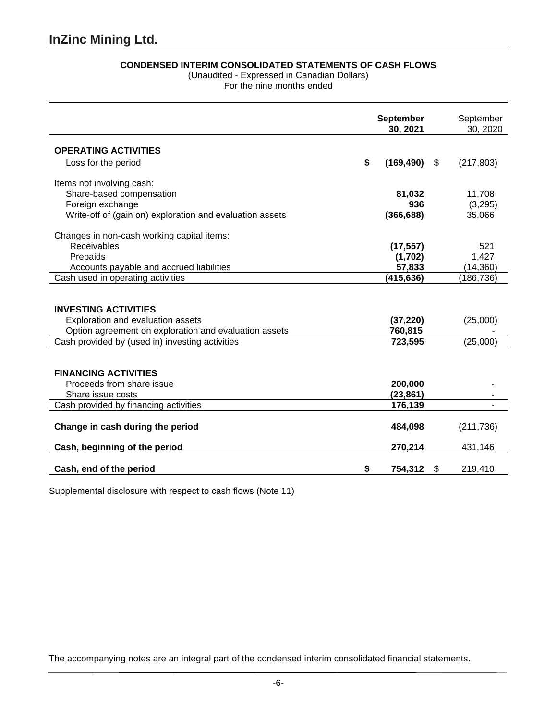# **CONDENSED INTERIM CONSOLIDATED STATEMENTS OF CASH FLOWS**

(Unaudited - Expressed in Canadian Dollars)

For the nine months ended

|                                                                                                                           | <b>September</b><br>30, 2021 |    | September<br>30, 2020 |
|---------------------------------------------------------------------------------------------------------------------------|------------------------------|----|-----------------------|
| <b>OPERATING ACTIVITIES</b>                                                                                               |                              |    |                       |
| Loss for the period                                                                                                       | \$<br>(169, 490)             | \$ | (217, 803)            |
| Items not involving cash:                                                                                                 |                              |    |                       |
| Share-based compensation                                                                                                  | 81,032                       |    | 11,708                |
| Foreign exchange                                                                                                          | 936                          |    | (3,295)               |
| Write-off of (gain on) exploration and evaluation assets                                                                  | (366, 688)                   |    | 35,066                |
| Changes in non-cash working capital items:                                                                                |                              |    |                       |
| Receivables                                                                                                               | (17, 557)                    |    | 521                   |
| Prepaids                                                                                                                  | (1,702)                      |    | 1,427                 |
| Accounts payable and accrued liabilities                                                                                  | 57,833                       |    | (14, 360)             |
| Cash used in operating activities                                                                                         | (415, 636)                   |    | (186, 736)            |
| <b>INVESTING ACTIVITIES</b><br>Exploration and evaluation assets<br>Option agreement on exploration and evaluation assets | (37, 220)<br>760,815         |    | (25,000)              |
| Cash provided by (used in) investing activities                                                                           | 723,595                      |    | (25,000)              |
| <b>FINANCING ACTIVITIES</b><br>Proceeds from share issue<br>Share issue costs                                             | 200,000<br>(23, 861)         |    |                       |
| Cash provided by financing activities                                                                                     | 176,139                      |    |                       |
| Change in cash during the period<br>Cash, beginning of the period                                                         | 484,098<br>270,214           |    | (211, 736)<br>431,146 |
|                                                                                                                           |                              |    |                       |
| Cash, end of the period                                                                                                   | \$<br>754,312                | S  | 219,410               |

Supplemental disclosure with respect to cash flows (Note 11)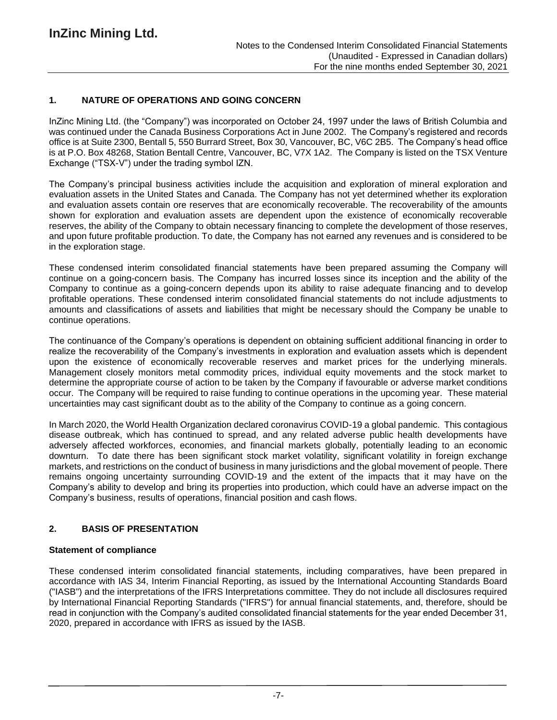# **1. NATURE OF OPERATIONS AND GOING CONCERN**

InZinc Mining Ltd. (the "Company") was incorporated on October 24, 1997 under the laws of British Columbia and was continued under the Canada Business Corporations Act in June 2002. The Company's registered and records office is at Suite 2300, Bentall 5, 550 Burrard Street, Box 30, Vancouver, BC, V6C 2B5. The Company's head office is at P.O. Box 48268, Station Bentall Centre, Vancouver, BC, V7X 1A2. The Company is listed on the TSX Venture Exchange ("TSX-V") under the trading symbol IZN.

The Company's principal business activities include the acquisition and exploration of mineral exploration and evaluation assets in the United States and Canada. The Company has not yet determined whether its exploration and evaluation assets contain ore reserves that are economically recoverable. The recoverability of the amounts shown for exploration and evaluation assets are dependent upon the existence of economically recoverable reserves, the ability of the Company to obtain necessary financing to complete the development of those reserves, and upon future profitable production. To date, the Company has not earned any revenues and is considered to be in the exploration stage.

These condensed interim consolidated financial statements have been prepared assuming the Company will continue on a going-concern basis. The Company has incurred losses since its inception and the ability of the Company to continue as a going-concern depends upon its ability to raise adequate financing and to develop profitable operations. These condensed interim consolidated financial statements do not include adjustments to amounts and classifications of assets and liabilities that might be necessary should the Company be unable to continue operations.

The continuance of the Company's operations is dependent on obtaining sufficient additional financing in order to realize the recoverability of the Company's investments in exploration and evaluation assets which is dependent upon the existence of economically recoverable reserves and market prices for the underlying minerals. Management closely monitors metal commodity prices, individual equity movements and the stock market to determine the appropriate course of action to be taken by the Company if favourable or adverse market conditions occur. The Company will be required to raise funding to continue operations in the upcoming year. These material uncertainties may cast significant doubt as to the ability of the Company to continue as a going concern.

In March 2020, the World Health Organization declared coronavirus COVID-19 a global pandemic. This contagious disease outbreak, which has continued to spread, and any related adverse public health developments have adversely affected workforces, economies, and financial markets globally, potentially leading to an economic downturn. To date there has been significant stock market volatility, significant volatility in foreign exchange markets, and restrictions on the conduct of business in many jurisdictions and the global movement of people. There remains ongoing uncertainty surrounding COVID-19 and the extent of the impacts that it may have on the Company's ability to develop and bring its properties into production, which could have an adverse impact on the Company's business, results of operations, financial position and cash flows.

# **2. BASIS OF PRESENTATION**

#### **Statement of compliance**

These condensed interim consolidated financial statements, including comparatives, have been prepared in accordance with IAS 34, Interim Financial Reporting, as issued by the International Accounting Standards Board ("IASB") and the interpretations of the IFRS Interpretations committee. They do not include all disclosures required by International Financial Reporting Standards ("IFRS") for annual financial statements, and, therefore, should be read in conjunction with the Company's audited consolidated financial statements for the year ended December 31, 2020, prepared in accordance with IFRS as issued by the IASB.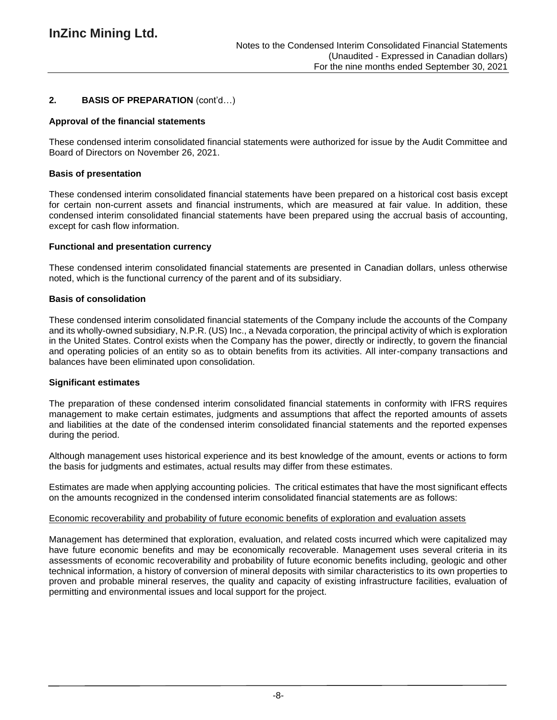# **2. BASIS OF PREPARATION** (cont'd…)

## **Approval of the financial statements**

These condensed interim consolidated financial statements were authorized for issue by the Audit Committee and Board of Directors on November 26, 2021.

## **Basis of presentation**

These condensed interim consolidated financial statements have been prepared on a historical cost basis except for certain non-current assets and financial instruments, which are measured at fair value. In addition, these condensed interim consolidated financial statements have been prepared using the accrual basis of accounting, except for cash flow information.

## **Functional and presentation currency**

These condensed interim consolidated financial statements are presented in Canadian dollars, unless otherwise noted, which is the functional currency of the parent and of its subsidiary.

## **Basis of consolidation**

These condensed interim consolidated financial statements of the Company include the accounts of the Company and its wholly-owned subsidiary, N.P.R. (US) Inc., a Nevada corporation, the principal activity of which is exploration in the United States. Control exists when the Company has the power, directly or indirectly, to govern the financial and operating policies of an entity so as to obtain benefits from its activities. All inter-company transactions and balances have been eliminated upon consolidation.

#### **Significant estimates**

The preparation of these condensed interim consolidated financial statements in conformity with IFRS requires management to make certain estimates, judgments and assumptions that affect the reported amounts of assets and liabilities at the date of the condensed interim consolidated financial statements and the reported expenses during the period.

Although management uses historical experience and its best knowledge of the amount, events or actions to form the basis for judgments and estimates, actual results may differ from these estimates.

Estimates are made when applying accounting policies. The critical estimates that have the most significant effects on the amounts recognized in the condensed interim consolidated financial statements are as follows:

#### Economic recoverability and probability of future economic benefits of exploration and evaluation assets

Management has determined that exploration, evaluation, and related costs incurred which were capitalized may have future economic benefits and may be economically recoverable. Management uses several criteria in its assessments of economic recoverability and probability of future economic benefits including, geologic and other technical information, a history of conversion of mineral deposits with similar characteristics to its own properties to proven and probable mineral reserves, the quality and capacity of existing infrastructure facilities, evaluation of permitting and environmental issues and local support for the project.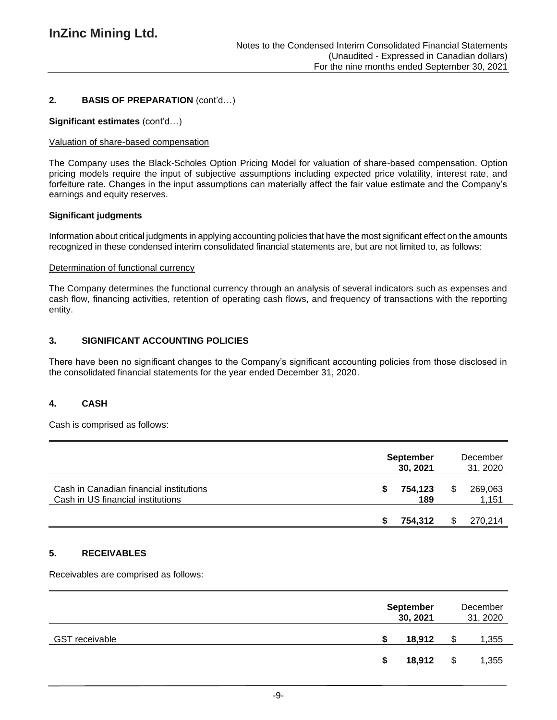# **2. BASIS OF PREPARATION** (cont'd…)

#### **Significant estimates** (cont'd…)

#### Valuation of share-based compensation

The Company uses the Black-Scholes Option Pricing Model for valuation of share-based compensation. Option pricing models require the input of subjective assumptions including expected price volatility, interest rate, and forfeiture rate. Changes in the input assumptions can materially affect the fair value estimate and the Company's earnings and equity reserves.

#### **Significant judgments**

Information about critical judgments in applying accounting policies that have the most significant effect on the amounts recognized in these condensed interim consolidated financial statements are, but are not limited to, as follows:

#### Determination of functional currency

The Company determines the functional currency through an analysis of several indicators such as expenses and cash flow, financing activities, retention of operating cash flows, and frequency of transactions with the reporting entity.

## **3. SIGNIFICANT ACCOUNTING POLICIES**

There have been no significant changes to the Company's significant accounting policies from those disclosed in the consolidated financial statements for the year ended December 31, 2020.

#### **4. CASH**

Cash is comprised as follows:

|                                                                              | <b>September</b><br>30, 2021 |                | December<br>31, 2020 |
|------------------------------------------------------------------------------|------------------------------|----------------|----------------------|
| Cash in Canadian financial institutions<br>Cash in US financial institutions | S                            | 754,123<br>189 | 269,063<br>1,151     |
|                                                                              |                              | 754,312        | 270,214              |

#### **5. RECEIVABLES**

Receivables are comprised as follows:

|                       |   | <b>September</b><br>30, 2021 |   | December<br>31, 2020 |
|-----------------------|---|------------------------------|---|----------------------|
| <b>GST receivable</b> | S | 18,912                       |   | 1,355                |
|                       | S | 18,912                       | S | 1,355                |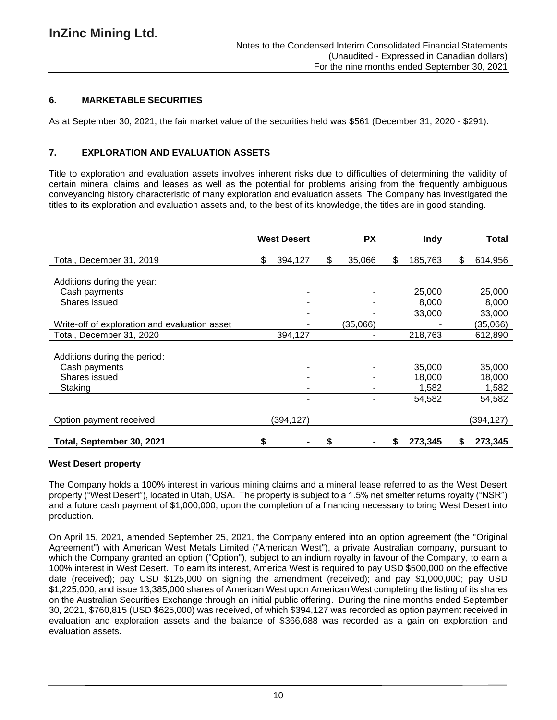## **6. MARKETABLE SECURITIES**

As at September 30, 2021, the fair market value of the securities held was \$561 (December 31, 2020 - \$291).

## **7. EXPLORATION AND EVALUATION ASSETS**

Title to exploration and evaluation assets involves inherent risks due to difficulties of determining the validity of certain mineral claims and leases as well as the potential for problems arising from the frequently ambiguous conveyancing history characteristic of many exploration and evaluation assets. The Company has investigated the titles to its exploration and evaluation assets and, to the best of its knowledge, the titles are in good standing.

|                                               |    | <b>West Desert</b> | <b>PX</b>    | <b>Indv</b>   |    | Total     |
|-----------------------------------------------|----|--------------------|--------------|---------------|----|-----------|
| Total, December 31, 2019                      | \$ | 394,127            | \$<br>35,066 | \$<br>185,763 | \$ | 614,956   |
| Additions during the year:                    |    |                    |              |               |    |           |
| Cash payments                                 |    |                    |              | 25,000        |    | 25,000    |
| Shares issued                                 |    |                    |              | 8,000         |    | 8,000     |
|                                               |    |                    |              | 33,000        |    | 33,000    |
| Write-off of exploration and evaluation asset |    |                    | (35,066)     |               |    | (35,066)  |
| Total, December 31, 2020                      |    | 394,127            |              | 218,763       |    | 612,890   |
| Additions during the period:                  |    |                    |              |               |    |           |
| Cash payments                                 |    |                    |              | 35,000        |    | 35,000    |
| Shares issued                                 |    |                    |              | 18,000        |    | 18,000    |
| Staking                                       |    |                    |              | 1,582         |    | 1,582     |
|                                               |    |                    |              | 54,582        |    | 54,582    |
| Option payment received                       |    | (394,127)          |              |               |    | (394,127) |
| Total, September 30, 2021                     | S  |                    |              | 273,345       | S  | 273.345   |

#### **West Desert property**

The Company holds a 100% interest in various mining claims and a mineral lease referred to as the West Desert property ("West Desert"), located in Utah, USA. The property is subject to a 1.5% net smelter returns royalty ("NSR") and a future cash payment of \$1,000,000, upon the completion of a financing necessary to bring West Desert into production.

On April 15, 2021, amended September 25, 2021, the Company entered into an option agreement (the "Original Agreement") with American West Metals Limited ("American West"), a private Australian company, pursuant to which the Company granted an option ("Option"), subject to an indium royalty in favour of the Company, to earn a 100% interest in West Desert. To earn its interest, America West is required to pay USD \$500,000 on the effective date (received); pay USD \$125,000 on signing the amendment (received); and pay \$1,000,000; pay USD \$1,225,000; and issue 13,385,000 shares of American West upon American West completing the listing of its shares on the Australian Securities Exchange through an initial public offering. During the nine months ended September 30, 2021, \$760,815 (USD \$625,000) was received, of which \$394,127 was recorded as option payment received in evaluation and exploration assets and the balance of \$366,688 was recorded as a gain on exploration and evaluation assets.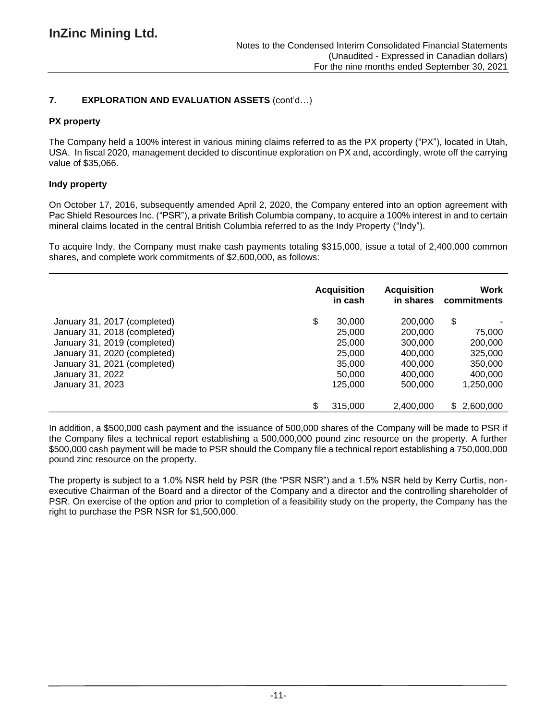# **7. EXPLORATION AND EVALUATION ASSETS** (cont'd…)

## **PX property**

The Company held a 100% interest in various mining claims referred to as the PX property ("PX"), located in Utah, USA. In fiscal 2020, management decided to discontinue exploration on PX and, accordingly, wrote off the carrying value of \$35,066.

## **Indy property**

On October 17, 2016, subsequently amended April 2, 2020, the Company entered into an option agreement with Pac Shield Resources Inc. ("PSR"), a private British Columbia company, to acquire a 100% interest in and to certain mineral claims located in the central British Columbia referred to as the Indy Property ("Indy").

To acquire Indy, the Company must make cash payments totaling \$315,000, issue a total of 2,400,000 common shares, and complete work commitments of \$2,600,000, as follows:

|                              | <b>Acquisition</b><br>in cash | <b>Acquisition</b><br>in shares | Work<br>commitments |
|------------------------------|-------------------------------|---------------------------------|---------------------|
| January 31, 2017 (completed) | \$<br>30,000                  | 200,000                         | \$                  |
| January 31, 2018 (completed) | 25,000                        | 200,000                         | 75,000              |
| January 31, 2019 (completed) | 25,000                        | 300,000                         | 200,000             |
| January 31, 2020 (completed) | 25,000                        | 400,000                         | 325,000             |
| January 31, 2021 (completed) | 35,000                        | 400,000                         | 350,000             |
| January 31, 2022             | 50,000                        | 400.000                         | 400,000             |
| January 31, 2023             | 125,000                       | 500,000                         | 1,250,000           |
|                              | \$<br>315,000                 | 2.400.000                       | \$2,600,000         |

In addition, a \$500,000 cash payment and the issuance of 500,000 shares of the Company will be made to PSR if the Company files a technical report establishing a 500,000,000 pound zinc resource on the property. A further \$500,000 cash payment will be made to PSR should the Company file a technical report establishing a 750,000,000 pound zinc resource on the property.

The property is subject to a 1.0% NSR held by PSR (the "PSR NSR") and a 1.5% NSR held by Kerry Curtis, nonexecutive Chairman of the Board and a director of the Company and a director and the controlling shareholder of PSR. On exercise of the option and prior to completion of a feasibility study on the property, the Company has the right to purchase the PSR NSR for \$1,500,000.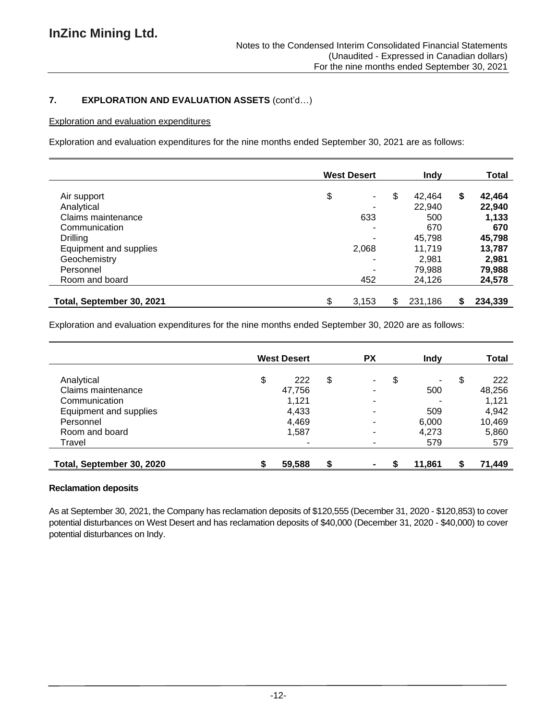# **7. EXPLORATION AND EVALUATION ASSETS** (cont'd…)

## Exploration and evaluation expenditures

Exploration and evaluation expenditures for the nine months ended September 30, 2021 are as follows:

|                           | <b>West Desert</b>   | Indy          | <b>Total</b>  |
|---------------------------|----------------------|---------------|---------------|
| Air support               | \$<br>$\blacksquare$ | \$<br>42.464  | \$<br>42,464  |
| Analytical                | ۰                    | 22,940        | 22,940        |
| Claims maintenance        | 633                  | 500           | 1,133         |
| Communication             | ۰                    | 670           | 670           |
| Drilling                  | ۰                    | 45,798        | 45,798        |
| Equipment and supplies    | 2,068                | 11.719        | 13,787        |
| Geochemistry              | ۰                    | 2.981         | 2,981         |
| Personnel                 | ۰                    | 79,988        | 79,988        |
| Room and board            | 452                  | 24,126        | 24,578        |
| Total, September 30, 2021 | \$<br>3,153          | \$<br>231,186 | \$<br>234,339 |

Exploration and evaluation expenditures for the nine months ended September 30, 2020 are as follows:

|                           |    | <b>West Desert</b> | <b>PX</b> | Indy    | Total        |
|---------------------------|----|--------------------|-----------|---------|--------------|
| Analytical                | \$ | 222                | \$<br>۰   | \$<br>- | \$<br>222    |
| Claims maintenance        |    | 47,756             | ۰         | 500     | 48,256       |
| Communication             |    | 1,121              | ٠         |         | 1,121        |
| Equipment and supplies    |    | 4,433              | ٠         | 509     | 4,942        |
| Personnel                 |    | 4,469              | ٠         | 6,000   | 10,469       |
| Room and board            |    | 1,587              | ۰         | 4,273   | 5,860        |
| Travel                    |    |                    | ٠         | 579     | 579          |
| Total, September 30, 2020 | S  | 59,588             |           | 11,861  | \$<br>71,449 |

#### **Reclamation deposits**

As at September 30, 2021, the Company has reclamation deposits of \$120,555 (December 31, 2020 - \$120,853) to cover potential disturbances on West Desert and has reclamation deposits of \$40,000 (December 31, 2020 - \$40,000) to cover potential disturbances on Indy.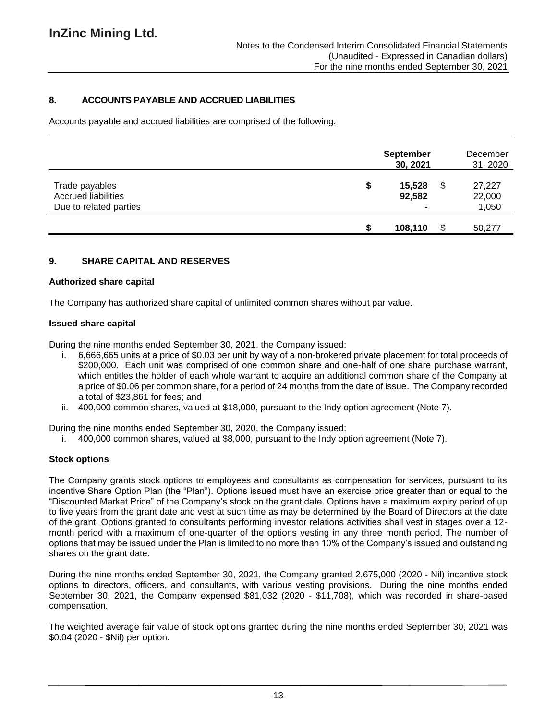# **8. ACCOUNTS PAYABLE AND ACCRUED LIABILITIES**

Accounts payable and accrued liabilities are comprised of the following:

|                                                                        | <b>September</b><br>30, 2021             |     | December<br>31, 2020      |
|------------------------------------------------------------------------|------------------------------------------|-----|---------------------------|
| Trade payables<br><b>Accrued liabilities</b><br>Due to related parties | \$<br>15,528<br>92,582<br>$\blacksquare$ | \$  | 27,227<br>22,000<br>1,050 |
|                                                                        | 108,110                                  | \$. | 50,277                    |

## **9. SHARE CAPITAL AND RESERVES**

#### **Authorized share capital**

The Company has authorized share capital of unlimited common shares without par value.

#### **Issued share capital**

During the nine months ended September 30, 2021, the Company issued:

- i. 6,666,665 units at a price of \$0.03 per unit by way of a non-brokered private placement for total proceeds of \$200,000. Each unit was comprised of one common share and one-half of one share purchase warrant, which entitles the holder of each whole warrant to acquire an additional common share of the Company at a price of \$0.06 per common share, for a period of 24 months from the date of issue. The Company recorded a total of \$23,861 for fees; and
- ii. 400,000 common shares, valued at \$18,000, pursuant to the Indy option agreement (Note 7).

During the nine months ended September 30, 2020, the Company issued:

i. 400,000 common shares, valued at \$8,000, pursuant to the Indy option agreement (Note 7).

## **Stock options**

The Company grants stock options to employees and consultants as compensation for services, pursuant to its incentive Share Option Plan (the "Plan"). Options issued must have an exercise price greater than or equal to the "Discounted Market Price" of the Company's stock on the grant date. Options have a maximum expiry period of up to five years from the grant date and vest at such time as may be determined by the Board of Directors at the date of the grant. Options granted to consultants performing investor relations activities shall vest in stages over a 12 month period with a maximum of one-quarter of the options vesting in any three month period. The number of options that may be issued under the Plan is limited to no more than 10% of the Company's issued and outstanding shares on the grant date.

During the nine months ended September 30, 2021, the Company granted 2,675,000 (2020 - Nil) incentive stock options to directors, officers, and consultants, with various vesting provisions. During the nine months ended September 30, 2021, the Company expensed \$81,032 (2020 - \$11,708), which was recorded in share-based compensation.

The weighted average fair value of stock options granted during the nine months ended September 30, 2021 was \$0.04 (2020 - \$Nil) per option.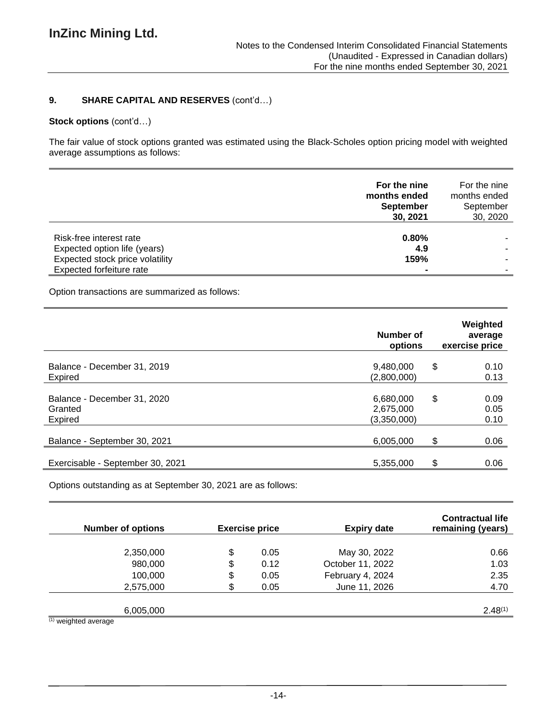## **9. SHARE CAPITAL AND RESERVES** (cont'd…)

# **Stock options** (cont'd…)

The fair value of stock options granted was estimated using the Black-Scholes option pricing model with weighted average assumptions as follows:

|                                                             | For the nine<br>months ended<br><b>September</b><br>30, 2021 | For the nine<br>months ended<br>September<br>30, 2020 |
|-------------------------------------------------------------|--------------------------------------------------------------|-------------------------------------------------------|
| Risk-free interest rate<br>Expected option life (years)     | $0.80\%$<br>4.9                                              |                                                       |
| Expected stock price volatility<br>Expected forfeiture rate | 159%<br>$\blacksquare$                                       |                                                       |

Option transactions are summarized as follows:

|                                                   | Weighted<br>Number of<br>average<br>options<br>exercise price |                            |  |  |  |  |
|---------------------------------------------------|---------------------------------------------------------------|----------------------------|--|--|--|--|
| Balance - December 31, 2019<br>Expired            | 9,480,000<br>(2,800,000)                                      | \$<br>0.10<br>0.13         |  |  |  |  |
| Balance - December 31, 2020<br>Granted<br>Expired | 6,680,000<br>2,675,000<br>(3,350,000)                         | \$<br>0.09<br>0.05<br>0.10 |  |  |  |  |
| Balance - September 30, 2021                      | 6,005,000                                                     | \$<br>0.06                 |  |  |  |  |
| Exercisable - September 30, 2021                  | 5,355,000                                                     | \$<br>0.06                 |  |  |  |  |

Options outstanding as at September 30, 2021 are as follows:

| <b>Number of options</b> | <b>Exercise price</b> | <b>Expiry date</b> | <b>Contractual life</b><br>remaining (years) |
|--------------------------|-----------------------|--------------------|----------------------------------------------|
|                          |                       |                    |                                              |
| 2,350,000                | \$<br>0.05            | May 30, 2022       | 0.66                                         |
| 980,000                  | \$<br>0.12            | October 11, 2022   | 1.03                                         |
| 100,000                  | \$<br>0.05            | February 4, 2024   | 2.35                                         |
| 2,575,000                | \$<br>0.05            | June 11, 2026      | 4.70                                         |
|                          |                       |                    |                                              |
| 6,005,000                |                       |                    | $2.48^{(1)}$                                 |
| $(1)$ weighted average   |                       |                    |                                              |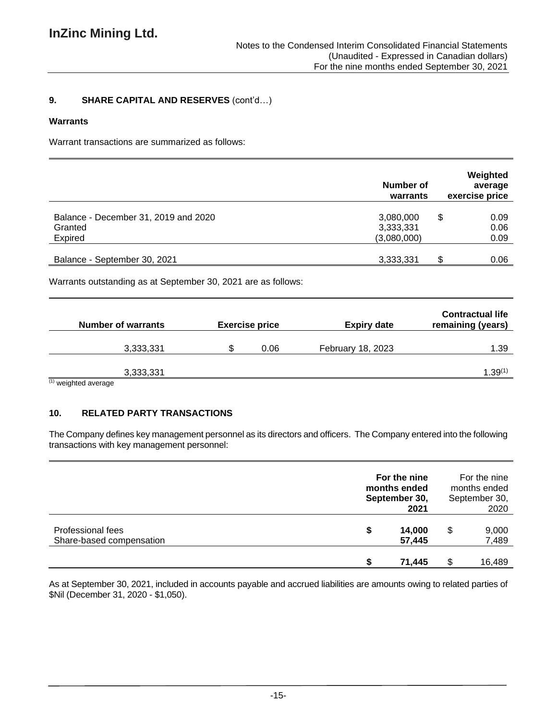# **9. SHARE CAPITAL AND RESERVES** (cont'd…)

### **Warrants**

Warrant transactions are summarized as follows:

|                                                            | Number of<br>warrants                 | Weighted<br>average<br>exercise price |
|------------------------------------------------------------|---------------------------------------|---------------------------------------|
| Balance - December 31, 2019 and 2020<br>Granted<br>Expired | 3,080,000<br>3,333,331<br>(3,080,000) | 0.09<br>\$<br>0.06                    |
| Balance - September 30, 2021                               | 3,333,331                             | 0.09<br>0.06                          |

Warrants outstanding as at September 30, 2021 are as follows:

| <b>Number of warrants</b>                      | <b>Exercise price</b> | <b>Expiry date</b>       | <b>Contractual life</b><br>remaining (years) |
|------------------------------------------------|-----------------------|--------------------------|----------------------------------------------|
| 3,333,331                                      | 0.06                  | <b>February 18, 2023</b> | 1.39                                         |
| 3,333,331<br>$(1)$ constructional accounts and |                       |                          | $1.39^{(1)}$                                 |

(1) weighted average

# **10. RELATED PARTY TRANSACTIONS**

The Company defines key management personnel as its directors and officers. The Company entered into the following transactions with key management personnel:

|                                               | For the nine<br>For the nine<br>months ended<br>months ended<br>September 30,<br>September 30,<br>2021<br>2020 |   |                |  |  |
|-----------------------------------------------|----------------------------------------------------------------------------------------------------------------|---|----------------|--|--|
| Professional fees<br>Share-based compensation | 14,000<br>S<br>57,445                                                                                          | S | 9,000<br>7,489 |  |  |
|                                               | 71,445                                                                                                         |   | 16,489         |  |  |

As at September 30, 2021, included in accounts payable and accrued liabilities are amounts owing to related parties of \$Nil (December 31, 2020 - \$1,050).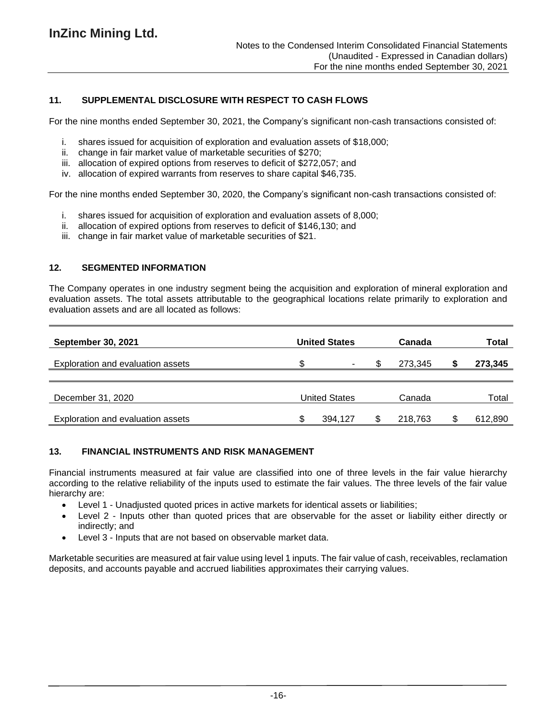# **11. SUPPLEMENTAL DISCLOSURE WITH RESPECT TO CASH FLOWS**

For the nine months ended September 30, 2021, the Company's significant non-cash transactions consisted of:

- i. shares issued for acquisition of exploration and evaluation assets of \$18,000;
- ii. change in fair market value of marketable securities of \$270;
- iii. allocation of expired options from reserves to deficit of \$272,057; and
- iv. allocation of expired warrants from reserves to share capital \$46,735.

For the nine months ended September 30, 2020, the Company's significant non-cash transactions consisted of:

- i. shares issued for acquisition of exploration and evaluation assets of 8,000;
- ii. allocation of expired options from reserves to deficit of \$146,130; and
- iii. change in fair market value of marketable securities of \$21.

#### **12. SEGMENTED INFORMATION**

The Company operates in one industry segment being the acquisition and exploration of mineral exploration and evaluation assets. The total assets attributable to the geographical locations relate primarily to exploration and evaluation assets and are all located as follows:

| <b>September 30, 2021</b>         | <b>United States</b> |                          | Canada |         | Total |         |
|-----------------------------------|----------------------|--------------------------|--------|---------|-------|---------|
| Exploration and evaluation assets |                      | $\overline{\phantom{0}}$ |        | 273.345 |       | 273,345 |
|                                   |                      |                          |        |         |       |         |
| December 31, 2020                 |                      | United States            |        | Canada  |       | Total   |
| Exploration and evaluation assets |                      | 394.127                  |        | 218.763 |       | 612,890 |

## **13. FINANCIAL INSTRUMENTS AND RISK MANAGEMENT**

Financial instruments measured at fair value are classified into one of three levels in the fair value hierarchy according to the relative reliability of the inputs used to estimate the fair values. The three levels of the fair value hierarchy are:

- Level 1 Unadjusted quoted prices in active markets for identical assets or liabilities;
- Level 2 Inputs other than quoted prices that are observable for the asset or liability either directly or indirectly; and
- Level 3 Inputs that are not based on observable market data.

Marketable securities are measured at fair value using level 1 inputs. The fair value of cash, receivables, reclamation deposits, and accounts payable and accrued liabilities approximates their carrying values.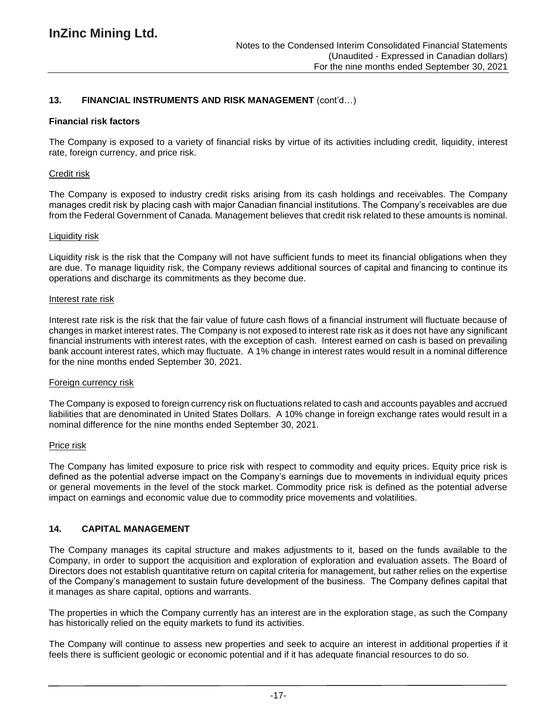## **13. FINANCIAL INSTRUMENTS AND RISK MANAGEMENT** (cont'd…)

#### **Financial risk factors**

The Company is exposed to a variety of financial risks by virtue of its activities including credit, liquidity, interest rate, foreign currency, and price risk.

#### Credit risk

The Company is exposed to industry credit risks arising from its cash holdings and receivables. The Company manages credit risk by placing cash with major Canadian financial institutions. The Company's receivables are due from the Federal Government of Canada. Management believes that credit risk related to these amounts is nominal.

#### Liquidity risk

Liquidity risk is the risk that the Company will not have sufficient funds to meet its financial obligations when they are due. To manage liquidity risk, the Company reviews additional sources of capital and financing to continue its operations and discharge its commitments as they become due.

#### Interest rate risk

Interest rate risk is the risk that the fair value of future cash flows of a financial instrument will fluctuate because of changes in market interest rates. The Company is not exposed to interest rate risk as it does not have any significant financial instruments with interest rates, with the exception of cash. Interest earned on cash is based on prevailing bank account interest rates, which may fluctuate. A 1% change in interest rates would result in a nominal difference for the nine months ended September 30, 2021.

#### Foreign currency risk

The Company is exposed to foreign currency risk on fluctuations related to cash and accounts payables and accrued liabilities that are denominated in United States Dollars. A 10% change in foreign exchange rates would result in a nominal difference for the nine months ended September 30, 2021.

#### Price risk

The Company has limited exposure to price risk with respect to commodity and equity prices. Equity price risk is defined as the potential adverse impact on the Company's earnings due to movements in individual equity prices or general movements in the level of the stock market. Commodity price risk is defined as the potential adverse impact on earnings and economic value due to commodity price movements and volatilities.

#### **14. CAPITAL MANAGEMENT**

The Company manages its capital structure and makes adjustments to it, based on the funds available to the Company, in order to support the acquisition and exploration of exploration and evaluation assets. The Board of Directors does not establish quantitative return on capital criteria for management, but rather relies on the expertise of the Company's management to sustain future development of the business. The Company defines capital that it manages as share capital, options and warrants.

The properties in which the Company currently has an interest are in the exploration stage, as such the Company has historically relied on the equity markets to fund its activities.

The Company will continue to assess new properties and seek to acquire an interest in additional properties if it feels there is sufficient geologic or economic potential and if it has adequate financial resources to do so.